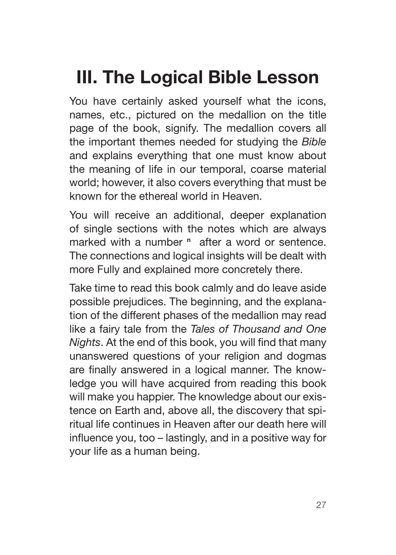# **III. The Logical Bible Lesson**

You have certainly asked yourself what the icons, names, etc., pictured on the medallion on the title page of the book, signify. The medallion covers all the important themes needed for studying the *Bible* and explains everything that one must know about the meaning of life in our temporal, coarse material world; however, it also covers everything that must be known for the ethereal world in Heaven.

You will receive an additional, deeper explanation of single sections with the notes which are always marked with a number **n** after a word or sentence. The connections and logical insights will be dealt with more Fully and explained more concretely there.

Take time to read this book calmly and do leave aside possible prejudices. The beginning, and the explanation of the different phases of the medallion may read like a fairy tale from the *Tales of Thousand and One Nights*. At the end of this book, you will find that many unanswered questions of your religion and dogmas are finally answered in a logical manner. The knowledge you will have acquired from reading this book will make you happier. The knowledge about our existence on Earth and, above all, the discovery that spiritual life continues in Heaven after our death here will influence you, too – lastingly, and in a positive way for your life as a human being.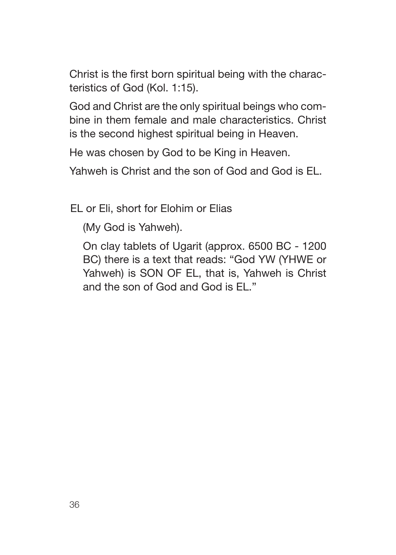Christ is the first born spiritual being with the characteristics of God (Kol. 1:15).

God and Christ are the only spiritual beings who combine in them female and male characteristics. Christ is the second highest spiritual being in Heaven.

He was chosen by God to be King in Heaven.

Yahweh is Christ and the son of God and God is EL.

EL or Eli, short for Elohim or Elias

(My God is Yahweh).

On clay tablets of Ugarit (approx. 6500 BC - 1200 BC) there is a text that reads: "God YW (YHWE or Yahweh) is SON OF EL, that is, Yahweh is Christ and the son of God and God is EL."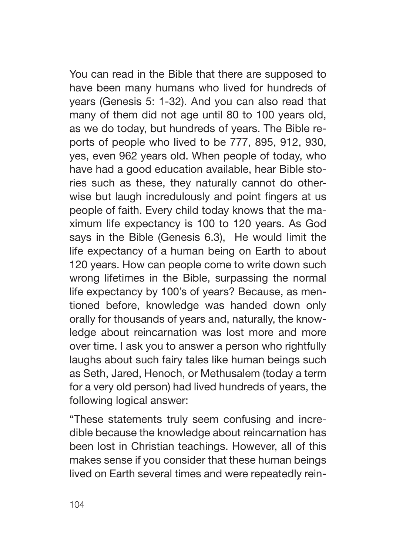You can read in the Bible that there are supposed to have been many humans who lived for hundreds of years (Genesis 5: 1-32). And you can also read that many of them did not age until 80 to 100 years old, as we do today, but hundreds of years. The Bible reports of people who lived to be 777, 895, 912, 930, yes, even 962 years old. When people of today, who have had a good education available, hear Bible stories such as these, they naturally cannot do otherwise but laugh incredulously and point fingers at us people of faith. Every child today knows that the maximum life expectancy is 100 to 120 years. As God says in the Bible (Genesis 6.3), He would limit the life expectancy of a human being on Earth to about 120 years. How can people come to write down such wrong lifetimes in the Bible, surpassing the normal life expectancy by 100's of years? Because, as mentioned before, knowledge was handed down only orally for thousands of years and, naturally, the knowledge about reincarnation was lost more and more over time. I ask you to answer a person who rightfully laughs about such fairy tales like human beings such as Seth, Jared, Henoch, or Methusalem (today a term for a very old person) had lived hundreds of years, the following logical answer:

"These statements truly seem confusing and incredible because the knowledge about reincarnation has been lost in Christian teachings. However, all of this makes sense if you consider that these human beings lived on Earth several times and were repeatedly rein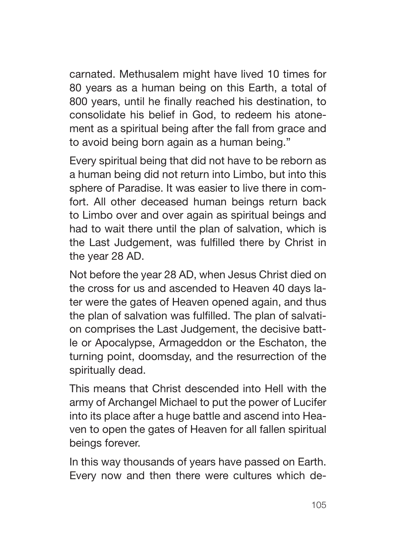carnated. Methusalem might have lived 10 times for 80 years as a human being on this Earth, a total of 800 years, until he finally reached his destination, to consolidate his belief in God, to redeem his atonement as a spiritual being after the fall from grace and to avoid being born again as a human being."

Every spiritual being that did not have to be reborn as a human being did not return into Limbo, but into this sphere of Paradise. It was easier to live there in comfort. All other deceased human beings return back to Limbo over and over again as spiritual beings and had to wait there until the plan of salvation, which is the Last Judgement, was fulfilled there by Christ in the year 28 AD.

Not before the year 28 AD, when Jesus Christ died on the cross for us and ascended to Heaven 40 days later were the gates of Heaven opened again, and thus the plan of salvation was fulfilled. The plan of salvation comprises the Last Judgement, the decisive battle or Apocalypse, Armageddon or the Eschaton, the turning point, doomsday, and the resurrection of the spiritually dead.

This means that Christ descended into Hell with the army of Archangel Michael to put the power of Lucifer into its place after a huge battle and ascend into Heaven to open the gates of Heaven for all fallen spiritual beings forever.

In this way thousands of years have passed on Earth. Every now and then there were cultures which de-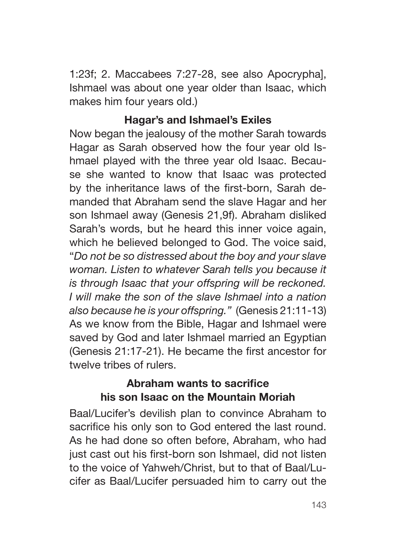1:23f; 2. Maccabees 7:27-28, see also Apocrypha], Ishmael was about one year older than Isaac, which makes him four years old.)

#### **Hagar's and Ishmael's Exiles**

Now began the jealousy of the mother Sarah towards Hagar as Sarah observed how the four year old Ishmael played with the three year old Isaac. Because she wanted to know that Isaac was protected by the inheritance laws of the first-born, Sarah demanded that Abraham send the slave Hagar and her son Ishmael away (Genesis 21,9f). Abraham disliked Sarah's words, but he heard this inner voice again, which he believed belonged to God. The voice said, "*Do not be so distressed about the boy and your slave woman. Listen to whatever Sarah tells you because it is through Isaac that your offspring will be reckoned. I will make the son of the slave Ishmael into a nation also because he is your offspring."* (Genesis 21:11-13) As we know from the Bible, Hagar and Ishmael were saved by God and later Ishmael married an Egyptian (Genesis 21:17-21). He became the first ancestor for twelve tribes of rulers.

#### **Abraham wants to sacrifice his son Isaac on the Mountain Moriah**

Baal/Lucifer's devilish plan to convince Abraham to sacrifice his only son to God entered the last round. As he had done so often before, Abraham, who had just cast out his first-born son Ishmael, did not listen to the voice of Yahweh/Christ, but to that of Baal/Lucifer as Baal/Lucifer persuaded him to carry out the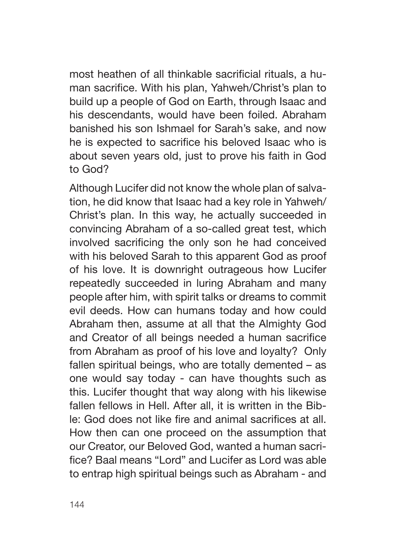most heathen of all thinkable sacrificial rituals, a human sacrifice. With his plan, Yahweh/Christ's plan to build up a people of God on Earth, through Isaac and his descendants, would have been foiled. Abraham banished his son Ishmael for Sarah's sake, and now he is expected to sacrifice his beloved Isaac who is about seven years old, just to prove his faith in God to God?

Although Lucifer did not know the whole plan of salvation, he did know that Isaac had a key role in Yahweh/ Christ's plan. In this way, he actually succeeded in convincing Abraham of a so-called great test, which involved sacrificing the only son he had conceived with his beloved Sarah to this apparent God as proof of his love. It is downright outrageous how Lucifer repeatedly succeeded in luring Abraham and many people after him, with spirit talks or dreams to commit evil deeds. How can humans today and how could Abraham then, assume at all that the Almighty God and Creator of all beings needed a human sacrifice from Abraham as proof of his love and loyalty? Only fallen spiritual beings, who are totally demented – as one would say today - can have thoughts such as this. Lucifer thought that way along with his likewise fallen fellows in Hell. After all, it is written in the Bible: God does not like fire and animal sacrifices at all. How then can one proceed on the assumption that our Creator, our Beloved God, wanted a human sacrifice? Baal means "Lord" and Lucifer as Lord was able to entrap high spiritual beings such as Abraham - and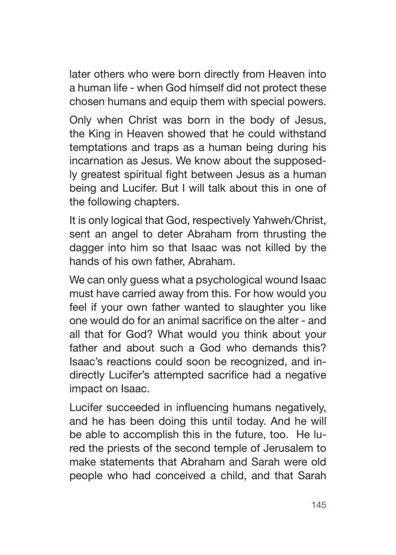later others who were born directly from Heaven into a human life - when God himself did not protect these chosen humans and equip them with special powers.

Only when Christ was born in the body of Jesus, the King in Heaven showed that he could withstand temptations and traps as a human being during his incarnation as Jesus. We know about the supposedly greatest spiritual fight between Jesus as a human being and Lucifer. But I will talk about this in one of the following chapters.

It is only logical that God, respectively Yahweh/Christ, sent an angel to deter Abraham from thrusting the dagger into him so that Isaac was not killed by the hands of his own father, Abraham.

We can only guess what a psychological wound Isaac must have carried away from this. For how would you feel if your own father wanted to slaughter you like one would do for an animal sacrifice on the alter - and all that for God? What would you think about your father and about such a God who demands this? Isaac's reactions could soon be recognized, and indirectly Lucifer's attempted sacrifice had a negative impact on Isaac.

Lucifer succeeded in influencing humans negatively, and he has been doing this until today. And he will be able to accomplish this in the future, too. He lured the priests of the second temple of Jerusalem to make statements that Abraham and Sarah were old people who had conceived a child, and that Sarah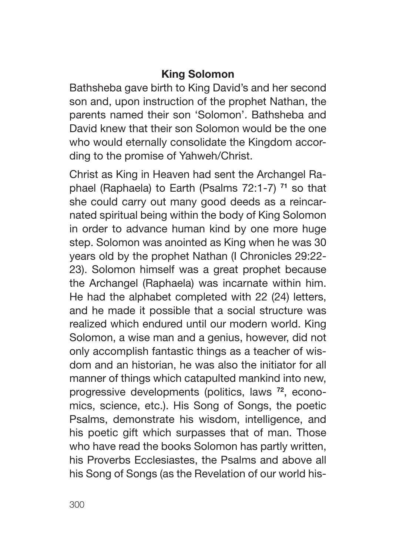#### **King Solomon**

Bathsheba gave birth to King David's and her second son and, upon instruction of the prophet Nathan, the parents named their son 'Solomon'. Bathsheba and David knew that their son Solomon would be the one who would eternally consolidate the Kingdom according to the promise of Yahweh/Christ.

Christ as King in Heaven had sent the Archangel Raphael (Raphaela) to Earth (Psalms 72:1-7) **71** so that she could carry out many good deeds as a reincarnated spiritual being within the body of King Solomon in order to advance human kind by one more huge step. Solomon was anointed as King when he was 30 years old by the prophet Nathan (I Chronicles 29:22- 23). Solomon himself was a great prophet because the Archangel (Raphaela) was incarnate within him. He had the alphabet completed with 22 (24) letters, and he made it possible that a social structure was realized which endured until our modern world. King Solomon, a wise man and a genius, however, did not only accomplish fantastic things as a teacher of wisdom and an historian, he was also the initiator for all manner of things which catapulted mankind into new, progressive developments (politics, laws **72**, economics, science, etc.). His Song of Songs, the poetic Psalms, demonstrate his wisdom, intelligence, and his poetic gift which surpasses that of man. Those who have read the books Solomon has partly written, his Proverbs Ecclesiastes, the Psalms and above all his Song of Songs (as the Revelation of our world his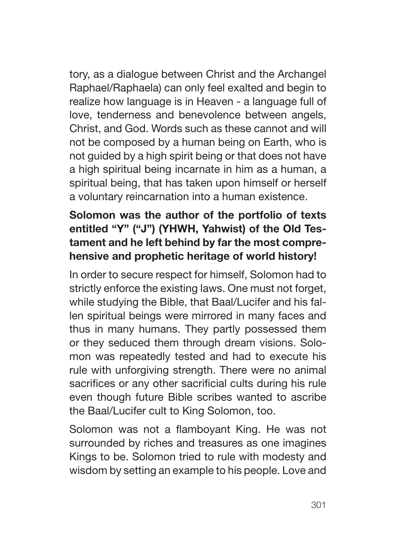tory, as a dialogue between Christ and the Archangel Raphael/Raphaela) can only feel exalted and begin to realize how language is in Heaven - a language full of love, tenderness and benevolence between angels, Christ, and God. Words such as these cannot and will not be composed by a human being on Earth, who is not guided by a high spirit being or that does not have a high spiritual being incarnate in him as a human, a spiritual being, that has taken upon himself or herself a voluntary reincarnation into a human existence.

### **Solomon was the author of the portfolio of texts entitled "Y" ("J") (YHWH, Yahwist) of the Old Testament and he left behind by far the most comprehensive and prophetic heritage of world history!**

In order to secure respect for himself, Solomon had to strictly enforce the existing laws. One must not forget, while studying the Bible, that Baal/Lucifer and his fallen spiritual beings were mirrored in many faces and thus in many humans. They partly possessed them or they seduced them through dream visions. Solomon was repeatedly tested and had to execute his rule with unforgiving strength. There were no animal sacrifices or any other sacrificial cults during his rule even though future Bible scribes wanted to ascribe the Baal/Lucifer cult to King Solomon, too.

Solomon was not a flamboyant King. He was not surrounded by riches and treasures as one imagines Kings to be. Solomon tried to rule with modesty and wisdom by setting an example to his people. Love and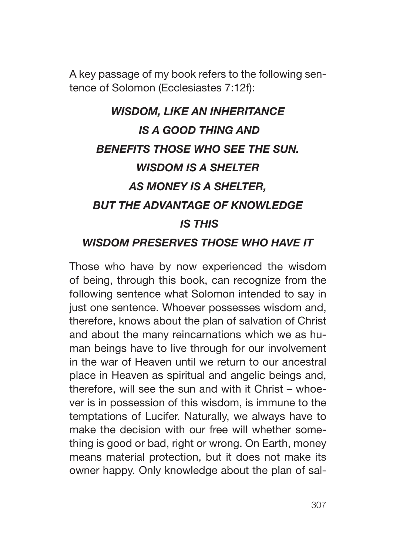A key passage of my book refers to the following sentence of Solomon (Ecclesiastes 7:12f):

## *WISDOM, LIKE AN INHERITANCE IS A GOOD THING AND BENEFITS THOSE WHO SEE THE SUN. WISDOM IS A SHELTER AS MONEY IS A SHELTER, BUT THE ADVANTAGE OF KNOWLEDGE IS THIS WISDOM PRESERVES THOSE WHO HAVE IT*

Those who have by now experienced the wisdom of being, through this book, can recognize from the following sentence what Solomon intended to say in just one sentence. Whoever possesses wisdom and, therefore, knows about the plan of salvation of Christ and about the many reincarnations which we as human beings have to live through for our involvement in the war of Heaven until we return to our ancestral place in Heaven as spiritual and angelic beings and, therefore, will see the sun and with it Christ – whoever is in possession of this wisdom, is immune to the temptations of Lucifer. Naturally, we always have to make the decision with our free will whether something is good or bad, right or wrong. On Earth, money means material protection, but it does not make its owner happy. Only knowledge about the plan of sal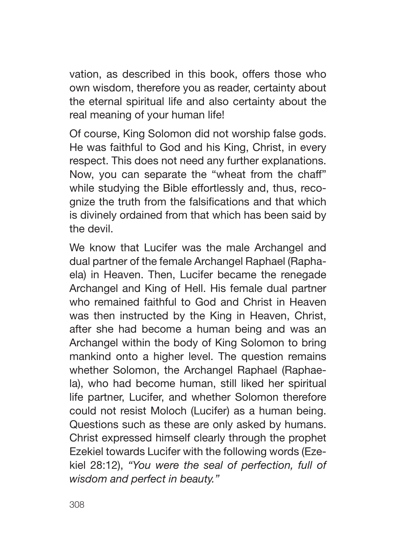vation, as described in this book, offers those who own wisdom, therefore you as reader, certainty about the eternal spiritual life and also certainty about the real meaning of your human life!

Of course, King Solomon did not worship false gods. He was faithful to God and his King, Christ, in every respect. This does not need any further explanations. Now, you can separate the "wheat from the chaff" while studying the Bible effortlessly and, thus, recognize the truth from the falsifications and that which is divinely ordained from that which has been said by the devil.

We know that Lucifer was the male Archangel and dual partner of the female Archangel Raphael (Raphaela) in Heaven. Then, Lucifer became the renegade Archangel and King of Hell. His female dual partner who remained faithful to God and Christ in Heaven was then instructed by the King in Heaven, Christ, after she had become a human being and was an Archangel within the body of King Solomon to bring mankind onto a higher level. The question remains whether Solomon, the Archangel Raphael (Raphaela), who had become human, still liked her spiritual life partner, Lucifer, and whether Solomon therefore could not resist Moloch (Lucifer) as a human being. Questions such as these are only asked by humans. Christ expressed himself clearly through the prophet Ezekiel towards Lucifer with the following words (Ezekiel 28:12), *"You were the seal of perfection, full of wisdom and perfect in beauty."*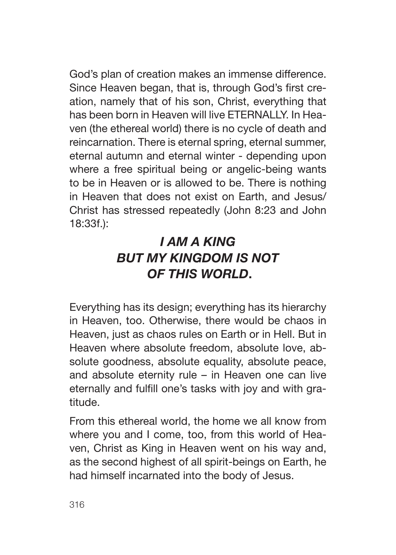God's plan of creation makes an immense difference. Since Heaven began, that is, through God's first creation, namely that of his son, Christ, everything that has been born in Heaven will live ETERNALLY. In Heaven (the ethereal world) there is no cycle of death and reincarnation. There is eternal spring, eternal summer, eternal autumn and eternal winter - depending upon where a free spiritual being or angelic-being wants to be in Heaven or is allowed to be. There is nothing in Heaven that does not exist on Earth, and Jesus/ Christ has stressed repeatedly (John 8:23 and John 18:33f.):

## *I AM A KING BUT MY KINGDOM IS NOT OF THIS WORLD***.**

Everything has its design; everything has its hierarchy in Heaven, too. Otherwise, there would be chaos in Heaven, just as chaos rules on Earth or in Hell. But in Heaven where absolute freedom, absolute love, absolute goodness, absolute equality, absolute peace, and absolute eternity rule – in Heaven one can live eternally and fulfill one's tasks with joy and with gratitude.

From this ethereal world, the home we all know from where you and I come, too, from this world of Heaven, Christ as King in Heaven went on his way and, as the second highest of all spirit-beings on Earth, he had himself incarnated into the body of Jesus.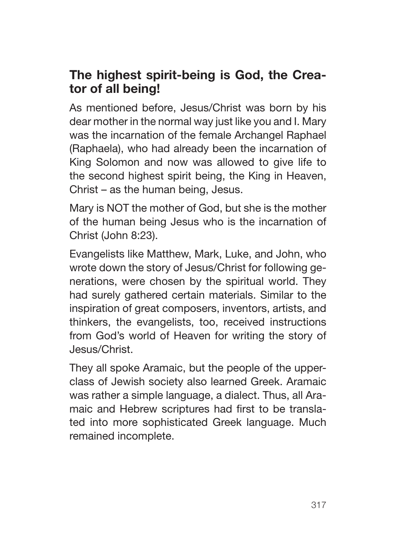### **The highest spirit-being is God, the Creator of all being!**

As mentioned before, Jesus/Christ was born by his dear mother in the normal way just like you and I. Mary was the incarnation of the female Archangel Raphael (Raphaela), who had already been the incarnation of King Solomon and now was allowed to give life to the second highest spirit being, the King in Heaven, Christ – as the human being, Jesus.

Mary is NOT the mother of God, but she is the mother of the human being Jesus who is the incarnation of Christ (John 8:23).

Evangelists like Matthew, Mark, Luke, and John, who wrote down the story of Jesus/Christ for following generations, were chosen by the spiritual world. They had surely gathered certain materials. Similar to the inspiration of great composers, inventors, artists, and thinkers, the evangelists, too, received instructions from God's world of Heaven for writing the story of Jesus/Christ.

They all spoke Aramaic, but the people of the upperclass of Jewish society also learned Greek. Aramaic was rather a simple language, a dialect. Thus, all Aramaic and Hebrew scriptures had first to be translated into more sophisticated Greek language. Much remained incomplete.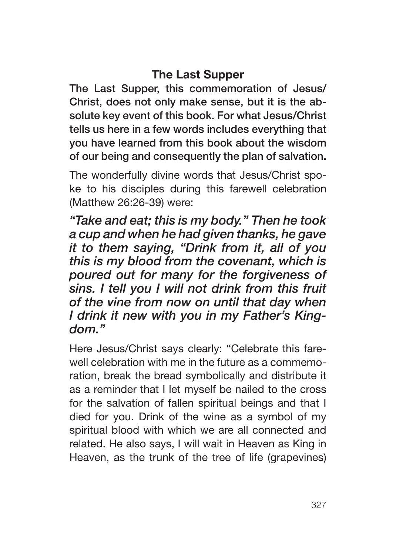### **The Last Supper**

The Last Supper, this commemoration of Jesus/ Christ, does not only make sense, but it is the absolute key event of this book. For what Jesus/Christ tells us here in a few words includes everything that you have learned from this book about the wisdom of our being and consequently the plan of salvation.

The wonderfully divine words that Jesus/Christ spoke to his disciples during this farewell celebration (Matthew 26:26-39) were:

*"Take and eat; this is my body." Then he took a cup and when he had given thanks, he gave it to them saying, "Drink from it, all of you this is my blood from the covenant, which is poured out for many for the forgiveness of sins. I tell you I will not drink from this fruit of the vine from now on until that day when I drink it new with you in my Father's Kingdom."*

Here Jesus/Christ says clearly: "Celebrate this farewell celebration with me in the future as a commemoration, break the bread symbolically and distribute it as a reminder that I let myself be nailed to the cross for the salvation of fallen spiritual beings and that I died for you. Drink of the wine as a symbol of my spiritual blood with which we are all connected and related. He also says, I will wait in Heaven as King in Heaven, as the trunk of the tree of life (grapevines)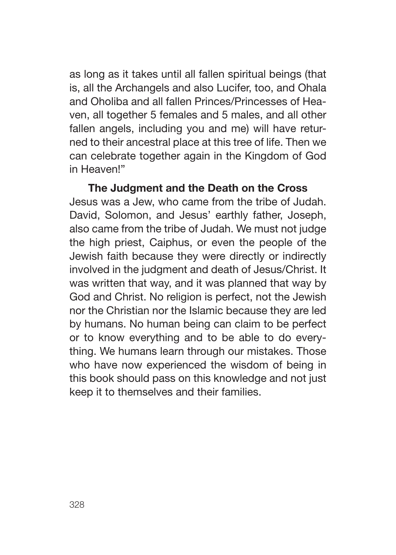as long as it takes until all fallen spiritual beings (that is, all the Archangels and also Lucifer, too, and Ohala and Oholiba and all fallen Princes/Princesses of Heaven, all together 5 females and 5 males, and all other fallen angels, including you and me) will have returned to their ancestral place at this tree of life. Then we can celebrate together again in the Kingdom of God in Heaven!"

#### **The Judgment and the Death on the Cross**

Jesus was a Jew, who came from the tribe of Judah. David, Solomon, and Jesus' earthly father, Joseph, also came from the tribe of Judah. We must not judge the high priest, Caiphus, or even the people of the Jewish faith because they were directly or indirectly involved in the judgment and death of Jesus/Christ. It was written that way, and it was planned that way by God and Christ. No religion is perfect, not the Jewish nor the Christian nor the Islamic because they are led by humans. No human being can claim to be perfect or to know everything and to be able to do everything. We humans learn through our mistakes. Those who have now experienced the wisdom of being in this book should pass on this knowledge and not just keep it to themselves and their families.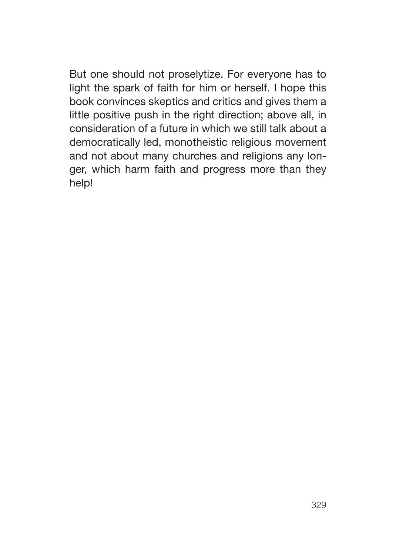But one should not proselytize. For everyone has to light the spark of faith for him or herself. I hope this book convinces skeptics and critics and gives them a little positive push in the right direction; above all, in consideration of a future in which we still talk about a democratically led, monotheistic religious movement and not about many churches and religions any longer, which harm faith and progress more than they help!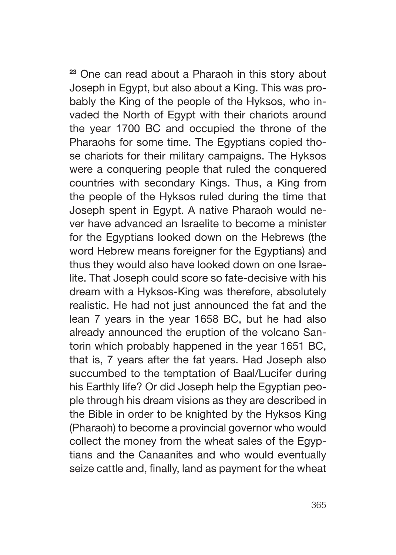**<sup>23</sup>** One can read about a Pharaoh in this story about Joseph in Egypt, but also about a King. This was probably the King of the people of the Hyksos, who invaded the North of Egypt with their chariots around the year 1700 BC and occupied the throne of the Pharaohs for some time. The Egyptians copied those chariots for their military campaigns. The Hyksos were a conquering people that ruled the conquered countries with secondary Kings. Thus, a King from the people of the Hyksos ruled during the time that Joseph spent in Egypt. A native Pharaoh would never have advanced an Israelite to become a minister for the Egyptians looked down on the Hebrews (the word Hebrew means foreigner for the Egyptians) and thus they would also have looked down on one Israelite. That Joseph could score so fate-decisive with his dream with a Hyksos-King was therefore, absolutely realistic. He had not just announced the fat and the lean 7 years in the year 1658 BC, but he had also already announced the eruption of the volcano Santorin which probably happened in the year 1651 BC, that is, 7 years after the fat years. Had Joseph also succumbed to the temptation of Baal/Lucifer during his Earthly life? Or did Joseph help the Egyptian people through his dream visions as they are described in the Bible in order to be knighted by the Hyksos King (Pharaoh) to become a provincial governor who would collect the money from the wheat sales of the Egyptians and the Canaanites and who would eventually seize cattle and, finally, land as payment for the wheat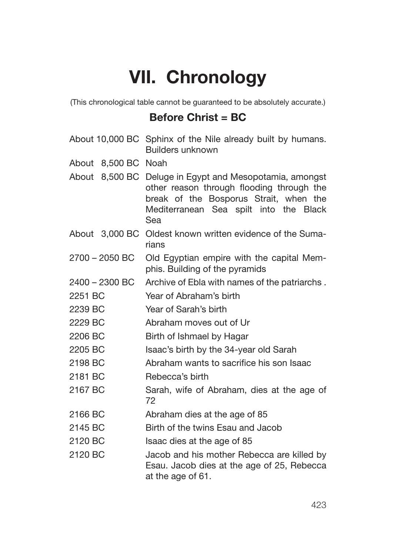# **VII. Chronology**

(This chronological table cannot be guaranteed to be absolutely accurate.)

#### **Before Christ = BC**

|                     | About 10,000 BC Sphinx of the Nile already built by humans.<br>Builders unknown                                                                                                                 |
|---------------------|-------------------------------------------------------------------------------------------------------------------------------------------------------------------------------------------------|
| About 8,500 BC Noah |                                                                                                                                                                                                 |
|                     | About 8,500 BC Deluge in Egypt and Mesopotamia, amongst<br>other reason through flooding through the<br>break of the Bosporus Strait, when the<br>Mediterranean Sea spilt into the Black<br>Sea |
|                     | About 3,000 BC Oldest known written evidence of the Suma-<br>rians                                                                                                                              |
| 2700 - 2050 BC      | Old Egyptian empire with the capital Mem-<br>phis. Building of the pyramids                                                                                                                     |
| 2400 - 2300 BC      | Archive of Ebla with names of the patriarchs.                                                                                                                                                   |
| 2251 BC             | Year of Abraham's birth                                                                                                                                                                         |
| 2239 BC             | Year of Sarah's birth                                                                                                                                                                           |
| 2229 BC             | Abraham moves out of Ur                                                                                                                                                                         |
| 2206 BC             | Birth of Ishmael by Hagar                                                                                                                                                                       |
| 2205 BC             | Isaac's birth by the 34-year old Sarah                                                                                                                                                          |
| 2198 BC             | Abraham wants to sacrifice his son Isaac                                                                                                                                                        |
| 2181 BC             | Rebecca's birth                                                                                                                                                                                 |
| 2167 BC             | Sarah, wife of Abraham, dies at the age of<br>72                                                                                                                                                |
| 2166 BC             | Abraham dies at the age of 85                                                                                                                                                                   |
| 2145 BC             | Birth of the twins Esau and Jacob                                                                                                                                                               |
| 2120 BC             | Isaac dies at the age of 85                                                                                                                                                                     |
| 2120 BC             | Jacob and his mother Rebecca are killed by<br>Esau. Jacob dies at the age of 25, Rebecca<br>at the age of 61.                                                                                   |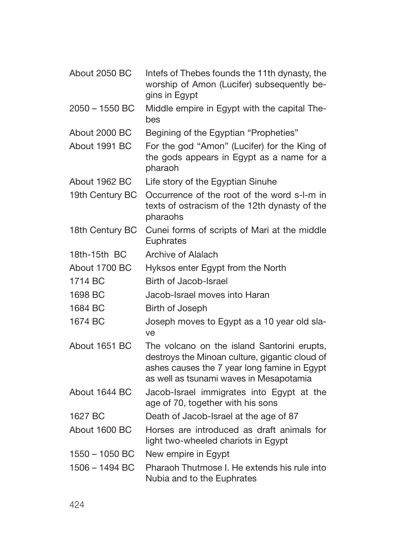| About 2050 BC    | Intefs of Thebes founds the 11th dynasty, the<br>worship of Amon (Lucifer) subsequently be-<br>gins in Egypt                                                                             |
|------------------|------------------------------------------------------------------------------------------------------------------------------------------------------------------------------------------|
| 2050 - 1550 BC   | Middle empire in Egypt with the capital The-<br>bes                                                                                                                                      |
| About 2000 BC    | Begining of the Egyptian "Propheties"                                                                                                                                                    |
| About 1991 BC    | For the god "Amon" (Lucifer) for the King of<br>the gods appears in Egypt as a name for a<br>pharaoh                                                                                     |
| About 1962 BC    | Life story of the Egyptian Sinuhe                                                                                                                                                        |
| 19th Century BC  | Occurrence of the root of the word s-I-m in<br>texts of ostracism of the 12th dynasty of the<br>pharaohs                                                                                 |
| 18th Century BC  | Cunei forms of scripts of Mari at the middle<br>Euphrates                                                                                                                                |
| 18th-15th BC     | Archive of Alalach                                                                                                                                                                       |
| About 1700 BC    | Hyksos enter Egypt from the North                                                                                                                                                        |
| 1714 BC          | Birth of Jacob-Israel                                                                                                                                                                    |
| 1698 BC          | Jacob-Israel moves into Haran                                                                                                                                                            |
| 1684 BC          | Birth of Joseph                                                                                                                                                                          |
| 1674 BC          | Joseph moves to Egypt as a 10 year old sla-<br>ve                                                                                                                                        |
| About 1651 BC    | The volcano on the island Santorini erupts,<br>destroys the Minoan culture, gigantic cloud of<br>ashes causes the 7 year long famine in Egypt<br>as well as tsunami waves in Mesapotamia |
| About 1644 BC    | Jacob-Israel immigrates into Egypt at the<br>age of 70, together with his sons                                                                                                           |
| 1627 BC          | Death of Jacob-Israel at the age of 87                                                                                                                                                   |
| About 1600 BC    | Horses are introduced as draft animals for<br>light two-wheeled chariots in Egypt                                                                                                        |
| $1550 - 1050$ BC | New empire in Egypt                                                                                                                                                                      |
| 1506 - 1494 BC   | Pharaoh Thutmose I. He extends his rule into<br>Nubia and to the Euphrates                                                                                                               |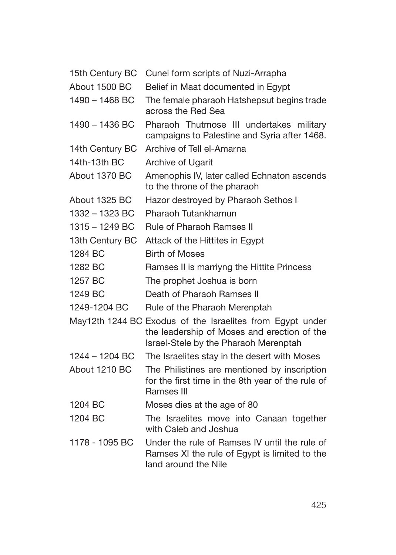| 15th Century BC | Cunei form scripts of Nuzi-Arrapha                                                                                                                |
|-----------------|---------------------------------------------------------------------------------------------------------------------------------------------------|
| About 1500 BC   | Belief in Maat documented in Egypt                                                                                                                |
| 1490 - 1468 BC  | The female pharaoh Hatshepsut begins trade<br>across the Red Sea                                                                                  |
| 1490 - 1436 BC  | Pharaoh Thutmose III undertakes military<br>campaigns to Palestine and Syria after 1468.                                                          |
| 14th Century BC | Archive of Tell el-Amarna                                                                                                                         |
| 14th-13th BC    | Archive of Ugarit                                                                                                                                 |
| About 1370 BC   | Amenophis IV, later called Echnaton ascends<br>to the throne of the pharaoh                                                                       |
| About 1325 BC   | Hazor destroyed by Pharaoh Sethos I                                                                                                               |
| 1332 - 1323 BC  | Pharaoh Tutankhamun                                                                                                                               |
| 1315 - 1249 BC  | <b>Rule of Pharaoh Ramses II</b>                                                                                                                  |
| 13th Century BC | Attack of the Hittites in Egypt                                                                                                                   |
| 1284 BC         | <b>Birth of Moses</b>                                                                                                                             |
| 1282 BC         | Ramses II is marriyng the Hittite Princess                                                                                                        |
| 1257 BC         | The prophet Joshua is born                                                                                                                        |
| 1249 BC         | Death of Pharaoh Ramses II                                                                                                                        |
| 1249-1204 BC    | Rule of the Pharaoh Merenptah                                                                                                                     |
|                 | May12th 1244 BC Exodus of the Israelites from Egypt under<br>the leadership of Moses and erection of the<br>Israel-Stele by the Pharaoh Merenptah |
| 1244 - 1204 BC  | The Israelites stay in the desert with Moses                                                                                                      |
| About 1210 BC   | The Philistines are mentioned by inscription<br>for the first time in the 8th year of the rule of<br>Ramses III                                   |
| 1204 BC         | Moses dies at the age of 80                                                                                                                       |
| 1204 BC         | The Israelites move into Canaan together<br>with Caleb and Joshua                                                                                 |
| 1178 - 1095 BC  | Under the rule of Ramses IV until the rule of<br>Ramses XI the rule of Egypt is limited to the<br>land around the Nile                            |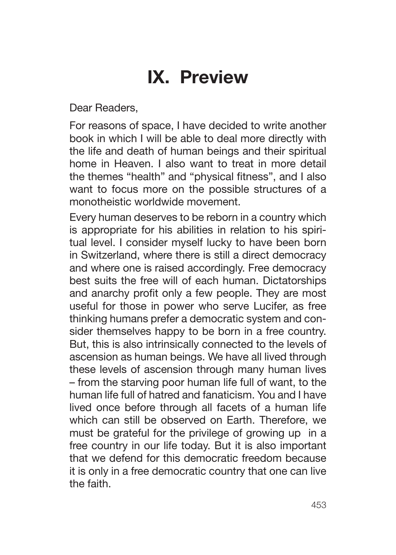## **IX. Preview**

Dear Readers,

For reasons of space, I have decided to write another book in which I will be able to deal more directly with the life and death of human beings and their spiritual home in Heaven. I also want to treat in more detail the themes "health" and "physical fitness", and I also want to focus more on the possible structures of a monotheistic worldwide movement.

Every human deserves to be reborn in a country which is appropriate for his abilities in relation to his spiritual level. I consider myself lucky to have been born in Switzerland, where there is still a direct democracy and where one is raised accordingly. Free democracy best suits the free will of each human. Dictatorships and anarchy profit only a few people. They are most useful for those in power who serve Lucifer, as free thinking humans prefer a democratic system and consider themselves happy to be born in a free country. But, this is also intrinsically connected to the levels of ascension as human beings. We have all lived through these levels of ascension through many human lives – from the starving poor human life full of want, to the human life full of hatred and fanaticism. You and I have lived once before through all facets of a human life which can still be observed on Earth. Therefore, we must be grateful for the privilege of growing up in a free country in our life today. But it is also important that we defend for this democratic freedom because it is only in a free democratic country that one can live the faith.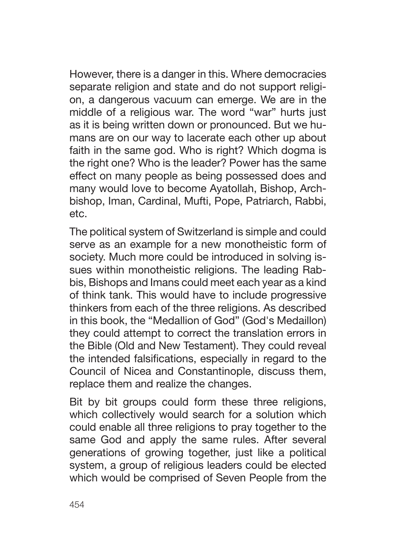However, there is a danger in this. Where democracies separate religion and state and do not support religion, a dangerous vacuum can emerge. We are in the middle of a religious war. The word "war" hurts just as it is being written down or pronounced. But we humans are on our way to lacerate each other up about faith in the same god. Who is right? Which dogma is the right one? Who is the leader? Power has the same effect on many people as being possessed does and many would love to become Ayatollah, Bishop, Archbishop, Iman, Cardinal, Mufti, Pope, Patriarch, Rabbi, etc.

The political system of Switzerland is simple and could serve as an example for a new monotheistic form of society. Much more could be introduced in solving issues within monotheistic religions. The leading Rabbis, Bishops and Imans could meet each year as a kind of think tank. This would have to include progressive thinkers from each of the three religions. As described in this book, the "Medallion of God" (God's Medaillon) they could attempt to correct the translation errors in the Bible (Old and New Testament). They could reveal the intended falsifications, especially in regard to the Council of Nicea and Constantinople, discuss them, replace them and realize the changes.

Bit by bit groups could form these three religions, which collectively would search for a solution which could enable all three religions to pray together to the same God and apply the same rules. After several generations of growing together, just like a political system, a group of religious leaders could be elected which would be comprised of Seven People from the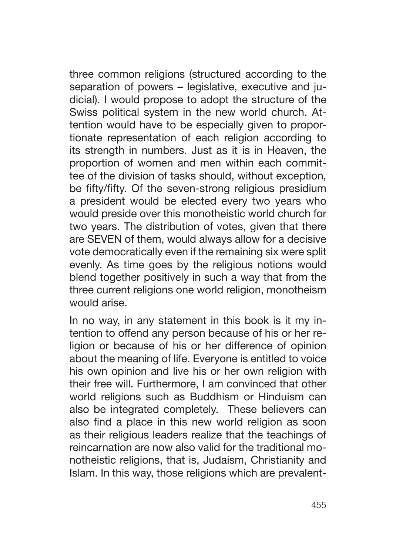three common religions (structured according to the separation of powers – legislative, executive and judicial). I would propose to adopt the structure of the Swiss political system in the new world church. Attention would have to be especially given to proportionate representation of each religion according to its strength in numbers. Just as it is in Heaven, the proportion of women and men within each committee of the division of tasks should, without exception, be fifty/fifty. Of the seven-strong religious presidium a president would be elected every two years who would preside over this monotheistic world church for two years. The distribution of votes, given that there are SEVEN of them, would always allow for a decisive vote democratically even if the remaining six were split evenly. As time goes by the religious notions would blend together positively in such a way that from the three current religions one world religion, monotheism would arise.

In no way, in any statement in this book is it my intention to offend any person because of his or her religion or because of his or her difference of opinion about the meaning of life. Everyone is entitled to voice his own opinion and live his or her own religion with their free will. Furthermore, I am convinced that other world religions such as Buddhism or Hinduism can also be integrated completely. These believers can also find a place in this new world religion as soon as their religious leaders realize that the teachings of reincarnation are now also valid for the traditional monotheistic religions, that is, Judaism, Christianity and Islam. In this way, those religions which are prevalent-